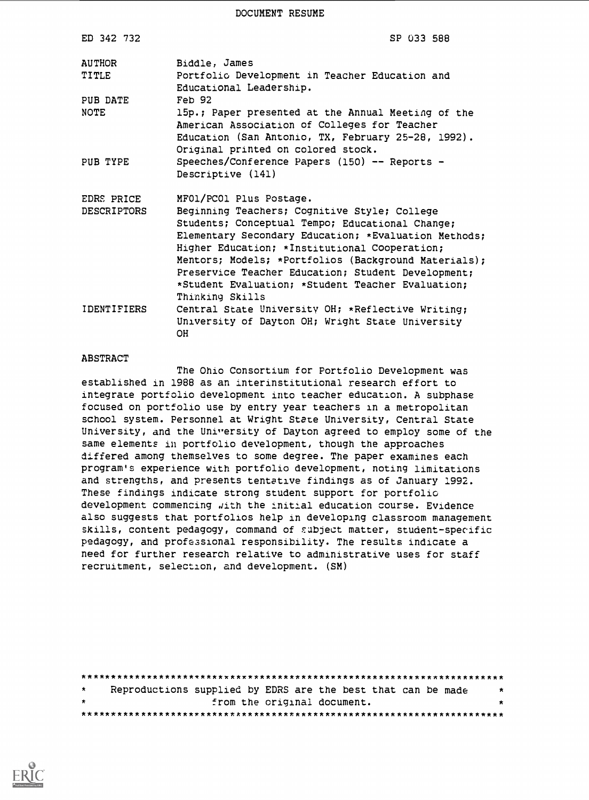DOCUMENT RESUME

| ED 342 732                | SP 033 588                                                                                                                                                                                                                                                                                                                                                                                                                |
|---------------------------|---------------------------------------------------------------------------------------------------------------------------------------------------------------------------------------------------------------------------------------------------------------------------------------------------------------------------------------------------------------------------------------------------------------------------|
| AUTHOR<br>TITLE           | Biddle, James<br>Portfolic Development in Teacher Education and<br>Educational Leadership.                                                                                                                                                                                                                                                                                                                                |
| PUB DATE<br>NOTE          | $Feh$ 92<br>15p.; Paper presented at the Annual Meeting of the<br>American Association of Colleges for Teacher<br>Education (San Antonio, TX, February 25-28, 1992).<br>Original printed on colored stock.                                                                                                                                                                                                                |
| PUB TYPE                  | Speeches/Conference Papers $(150)$ -- Reports -<br>Descriptive (141)                                                                                                                                                                                                                                                                                                                                                      |
| EDRS PRICE<br>DESCRIPTORS | MFO1/PCO1 Plus Postage.<br>Beginning Teachers; Cognitive Style; College<br>Students; Conceptual Tempo; Educational Change;<br>Elementary Secondary Education; *Evaluation Methods;<br>Higher Education; *Institutional Cooperation;<br>Mentors; Models; *Portfolios (Background Materials);<br>Preservice Teacher Education; Student Development;<br>*Student Evaluation; *Student Teacher Evaluation;<br>Thinking Skills |
| IDENTIFIERS               | Central State University OH; *Reflective Writing;<br>University of Dayton OH; Wright State University<br><b>OH</b>                                                                                                                                                                                                                                                                                                        |

#### ABSTRACT

The Ohio Consortium for Portfolio Development was established in 1988 as an interinstitutional research effort to integrate portfolio development into teacher education. A subphase focused on portfolio use by entry year teachers in a metropolitan school system. Personnel at Wright State University, Central State University, and the University of Dayton agreed to employ some of the same elements in portfolio development, though the approaches differed among themselves to some degree. The paper examines each program's experience with portfolio development, noting limitations and strengths, and presents tentative findings as of January 1992. These findings indicate strong student support for portfolio development commencing aith the Initial education course. Evidence also suggests that portfolios help in developing classroom management skills, content pedagogy, command of subject matter, student-specific pedagogy, and professional responsibility. The results indicate a need for further research relative to administrative uses for staff recruitment, selection, and development. (SM)

| $\star$ |  |                             | Reproductions supplied by EDRS are the best that can be made | - 70 |
|---------|--|-----------------------------|--------------------------------------------------------------|------|
| $\star$ |  | from the original document. |                                                              | *    |
|         |  |                             |                                                              |      |

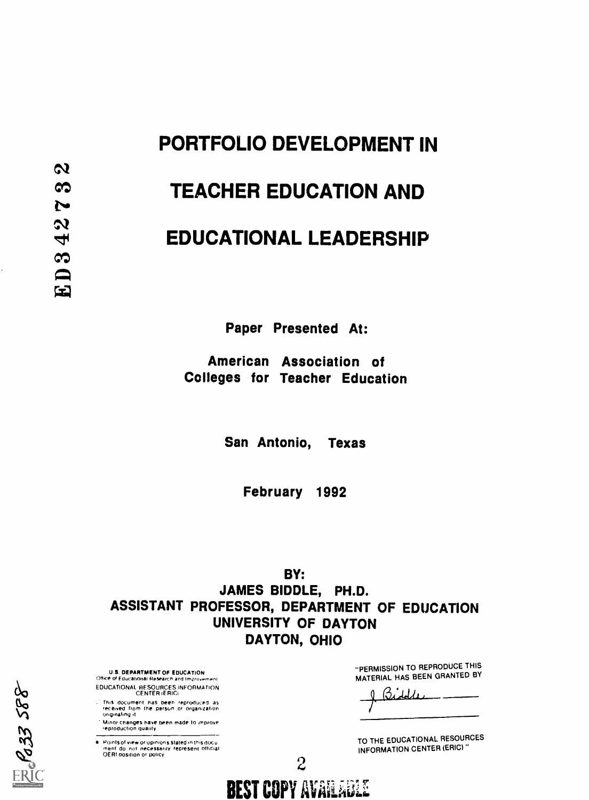# PORTFOLIO DEVELOPMENT IN

## TEACHER EDUCATION AND

## EDUCATIONAL LEADERSHIP

Paper Presented At:

American Association of Colleges for Teacher Education

San Antonio, Texas

February 1992

BY: JAMES BIDDLE, PH.D. ASSISTANT PROFESSOR, DEPARTMENT OF EDUCATION UNIVERSITY OF DAYTON DAYTON, OHIO

**BEST COPY AVAILABLE** 

 $\mathcal{Z}$  and  $\mathcal{Z}$ 

U.S. DEPARTMENT OE EDUCATION Office of Educational Research and Improvement EDUCATIONAL RESOURCES INFORMATION CENTER (ERICA

- This document has been reproduced as<br>received from the persun or organization<br>originaling it
- Minor changes have been made to .mprove ,eproduction Quality
- Points of view or opinions stated in this docu<br>ment: do .not. necessarily .represent. official<br>OERI position or policy

"PERMISSION TO REPRODUCE THIS MATERIAL HAS BEEN GRANTED BY

TO THE EDUCATIONAL RESOURCES INFORMATION CENTER (ERIC)"

 $\mathbb{E} \mathcal{C} 33 588$ 

 $\boldsymbol{\alpha}$ 

෬

 $\sim$ 

 $\boldsymbol{\mathcal{N}}$ 4

 $\infty$ 

ED.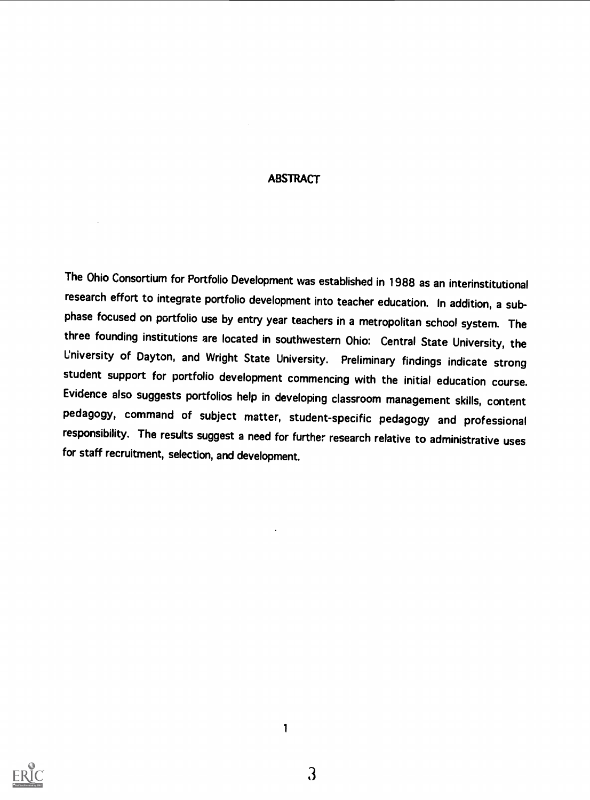#### **ABSTRACT**

The Ohio Consortium for Portfolio Development was established in 1988 as an interinstitutional research effort to integrate portfolio development into teacher education. In addition, a subphase focused on portfolio use by entry year teachers in a metropolitan school system. The three founding institutions are located in southwestern Ohio: Central State University, the University of Dayton, and Wright State University. Preliminary findings indicate strong student support for portfolio development commencing with the initial education course. Evidence also suggests portfolios help in developing classroom management skills, content pedagogy, command of subject matter, student-specific pedagogy and professional responsibility. The results suggest a need for further research relative to administrative uses for staff recruitment, selection, and development.

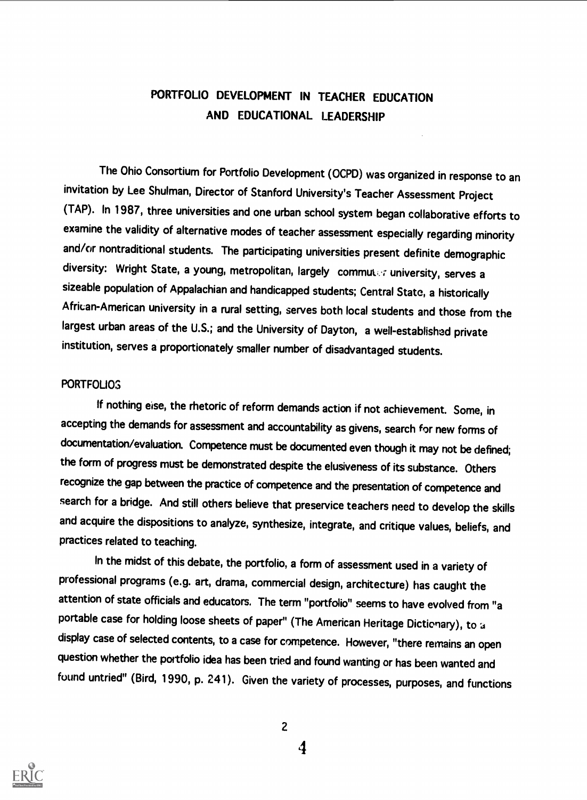## PORTFOLIO DEVELOPMENT IN TEACHER EDUCATION AND EDUCATIONAL LEADERSHIP

The Ohio Consortium for Portfolio Development (OCPD) was organized in response to an invitation by Lee Shulman, Director of Stanford University's Teacher Assessment Project (TAP). In 1987, three universities and one urban school system began collaborative efforts to examine the validity of alternative modes of teacher assessment especially regarding minority and/or nontraditional students. The participating universities present definite demographic diversity: Wright State, a young, metropolitan, largely commuter university, serves a sizeable population of Appalachian and handicapped students; Central State, a historically African-American university in a rural setting, serves both local students and those from the largest urban areas of the U.S.; and the University of Dayton, a well-established private institution, serves a proportionately smaller number of disadvantaged students.

### **PORTFOLIOS**

If nothing eise, the rhetoric of reform demands action if not achievement. Some, in accepting the demands for assessment and accountability as givens, search for new forms of documentation/evaluation. Competence must be documented even though it may not be defined; the form of progress must be demonstrated despite the elusiveness of its substance. Others recognize the gap between the practice of competence and the presentation of competence and search for a bridge. And still others believe that preservice teachers need to develop the skills and acquire the dispositions to analyze, synthesize, integrate, and critique values, beliefs, and practices related to teaching.

In the midst of this debate, the portfolio, a form of assessment used in a variety of professional programs (e.g. art, drama, commercial design, architecture) has caught the attention of state officials and educators. The term "portfolio" seems to have evolved from "a portable case for holding loose sheets of paper" (The American Heritage Dictionary), to a display case of selected contents, to a case for competence. However, "there remains an open question whether the portfolio idea has been tried and found wanting or has been wanted and found untried" (Bird, 1990, p. 241). Given the variety of processes, purposes, and functions



2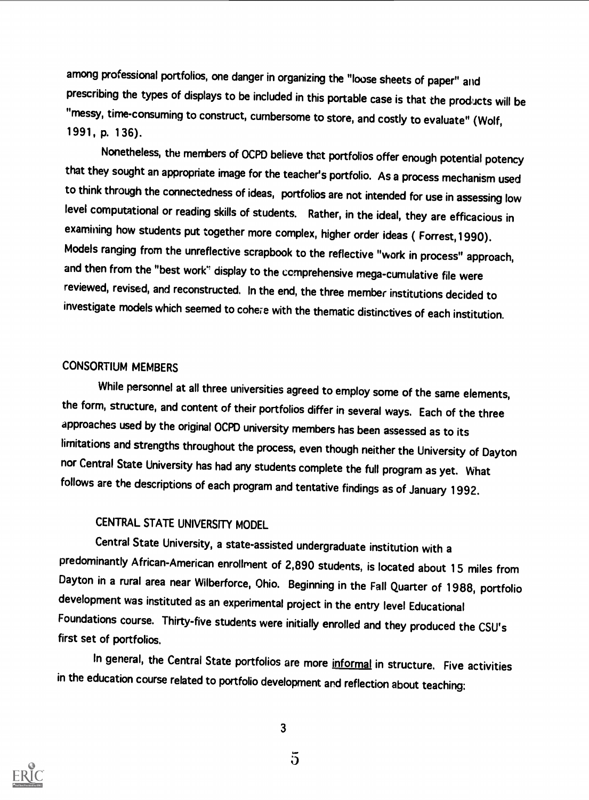among professional portfolios, one danger in organizing the "loose sheets of paper" and prescribing the types of displays to be included in this portable case is that the products will be "messy, time-consuming to construct, cumbersome to store, and costly to evaluate" (Wolf, 1991, p. 136).

Nonetheless, the members of OCPD believe that portfolios offer enough potential potency that they sought an appropriate image for the teacher's portfolio. As a process mechanism used to think through the connectedness of ideas, portfolios are not intended for use in assessing low level computational or reading skills of students. Rather, in the ideal, they are efficacious in examining how students put together more complex, higher order ideas ( Forrest,1990). Models ranging from the unreflective scrapbook to the reflective "work in process" approach, and then from the "best work" display to the comprehensive mega-cumulative file were reviewed, revised, and reconstructed. In the end, the three member institutions decided to investigate models which seemed to cohere with the thematic distinctives of each institution.

## CONSORTIUM MEMBERS

While personnel at all three universities agreed to employ some of the same elements, the form, structure, and content of their portfolios differ in several ways. Each of the three approaches used by the original OCPD university members has been assessed as to its limitations and strengths throughout the process, even though neither the University of Dayton nor Central State University has had any students complete the full program as yet. What follows are the descriptions of each program and tentative findings as of January 1992.

## CENTRAL STATE UNIVERSITY MODEL

Central State University, a state-assisted undergraduate institution with a predominantly African-American enrollment of 2,890 students, is located about 15 miles from Dayton in a rural area near Wilberforce, Ohio. Beginning in the Fall Quarter of 1988, portfolio development was instituted as an experimental project in the entry level Educational Foundations course. Thirty-five students were initially enrolled and they produced the CSU's first set of portfolios.

In general, the Central State portfolios are more informal in structure. Five activities in the education course related to portfolio development and reflection about teaching:

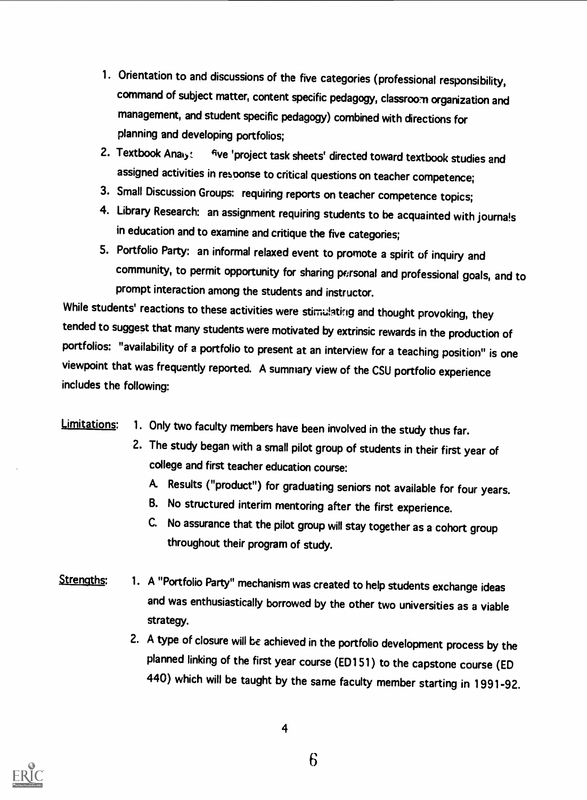- 1. Orientation to and discussions of the five categories (professional responsibility, command of subject matter, content specific pedagogy, classroom organization and management, and student specific pedagogy) combined with directions for planning and developing portfolios;
- 2. Textbook Analy: five 'project task sheets' directed toward textbook studies and assigned activities in response to critical questions on teacher competence;
- 3. Small Discussion Groups: requiring reports on teacher competence topics;
- 4. Library Research: an assignment requiring students to be acquainted with journa!s in education and to examine and critique the five categories;
- 5. Portfolio Party: an informal relaxed event to promote a spirit of inquiry and community, to permit opportunity for sharing personal and professional goals, and to prompt interaction among the students and instructor.

While students' reactions to these activities were stimulating and thought provoking, they tended to suggest that many students were motivated by extrinsic rewards in the production of portfolios: "availability of a portfolio to present at an interview for a teaching position" is one viewpoint that was frequently reported. A summary view of the CSU portfolio experience includes the following:

## Limitations: 1. Only two faculty members have been involved in the study thus far.

- 2. The study began with a small pilot group of students in their first year of college and first teacher education course:
	- A Results ("product") for graduating seniors not available for four years.
	- B. No structured interim mentoring after the first experience.
	- C. No assurance that the pilot group will stay together as a cohort group throughout their program of study.
- Strengths: 1. A "Portfolio Party" mechanism was created to help students exchange ideas and was enthusiastically borrowed by the other two universities as a viable strategy.
	- 2. A type of closure will be achieved in the portfolio development process by the planned linking of the first year course (EDI 51) to the capstone course (ED 440) which will be taught by the same faculty member starting in 1991-92.

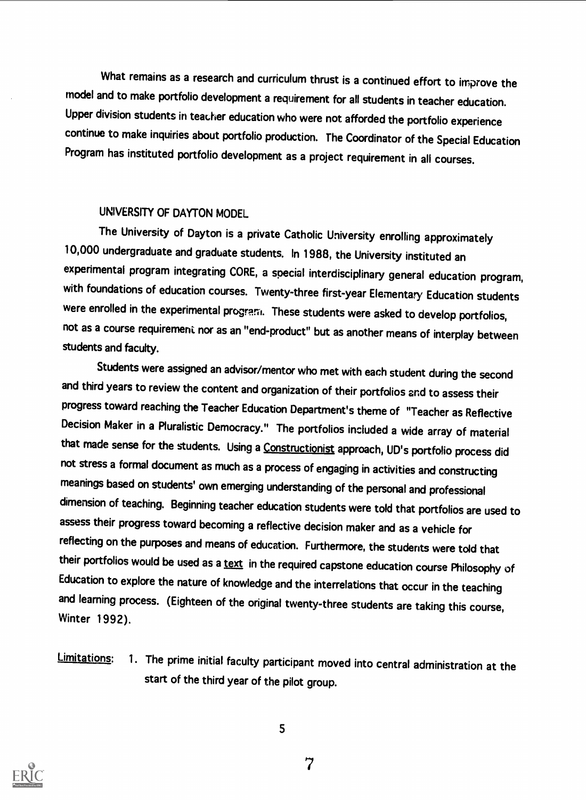What remains as a research and curriculum thrust is a continued effort to improve the model and to make portfolio development a requirement for all students in teacher education. Upper division students in teacher education who were not afforded the portfolio experience continue to make inquiries about portfolio production. The Coordinator of the Special Education Program has instituted portfolio development as a project requirement in all courses.

### UNIVERSITY OF DAYTON MODEL

The University of Dayton is a private Catholic University enrolling approximately 10,000 undergraduate and graduate students. In 1988, the University instituted an experimental program integrating CORE, a special interdisciplinary general education program, with foundations of education courses. Twenty-three first-year Elementary Education students were enrolled in the experimental program. These students were asked to develop portfolios, not as a course requirement nor as an "end-product" but as another means of interplay between students and faculty.

Students were assigned an advisor/mentor who met with each student during the second and third years to review the content and organization of their portfolios and to assess their progress toward reaching the Teacher Education Department's theme of "Teacher as Reflective Decision Maker in a Pluralistic Democracy." The portfolios included a wide array of material that made sense for the students. Using a Constructionist approach, UD's portfolio process did not stress a formal document as much as a process of engaging in activities and constructing meanings based on students' own emerging understanding of the personal and professional dimension of teaching. Beginning teacher education students were told that portfolios are used to assess their progress toward becoming a reflective decision maker and as a vehicle for reflecting on the purposes and means of education. Furthermore, the students were told that their portfolios would be used as a text in the required capstone education course Philosophy of Education to explore the nature of knowledge and the interrelations that occur in the teaching and learning process. (Eighteen of the original twenty-three students are taking this course, Winter 1992).

Limitations: 1. The prime initial faculty participant moved into central administration at the start of the third year of the pilot group.



5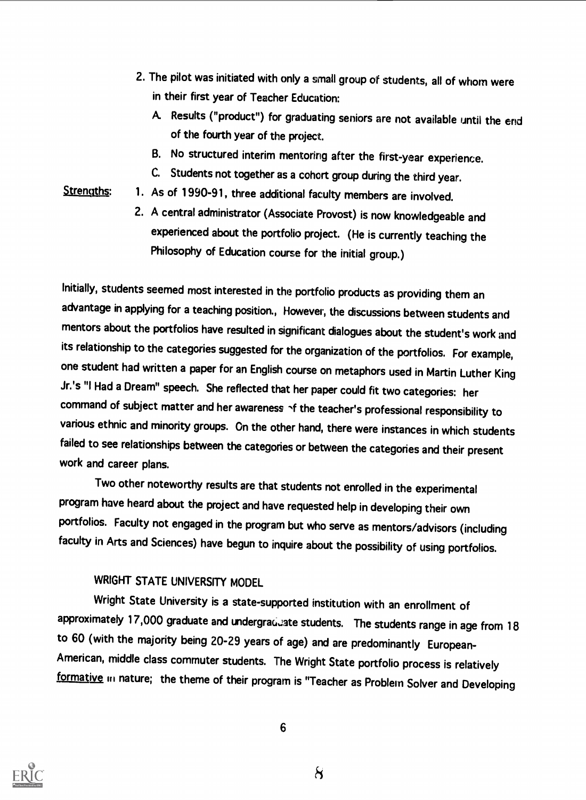- 2. The pilot was initiated with only a small group of students, all of whom were in their first year of Teacher Education:
	- A. Results ("product") for graduating seniors are not available until the end of the fourth year of the project.
	- B. No structured interim mentoring after the first-year experience.
	- C. Students not together as a cohort group during the third year.
- Strengths: 1. As of 1990-91, three additional faculty members are involved.
	- 2. A central administrator (Associate Provost) is now knowledgeable and experienced about the portfolio project. (He is currently teaching the Philosophy of Education course for the initial group.)

Initially, students seemed most interested in the portfolio products as providing them an advantage in applying for a teaching position., However, the discussions between students and mentors about the portfolios have resulted in significant dialogues about the student's work and its relationship to the categories suggested for the organization of the portfolios. For example, one student had written a paper for an English course on metaphors used in Martin Luther King Jr.'s "I Had a Dream" speech. She reflected that her paper could fit two categories: her command of subject matter and her awareness  $\gamma$ f the teacher's professional responsibility to various ethnic and minority groups. On the other hand, there were instances in which students failed to see relationships between the categories or between the categories and their present work and career plans.

Two other noteworthy results are that students not enrolled in the experimental program have heard about the project and have requested help in developing their own portfolios. Faculty not engaged in the program but who serve as mentors/advisors (including faculty in Arts and Sciences) have begun to inquire about the possibility of using portfolios.

## WRIGHT STATE UNIVERSITY MODEL

Wright State University is a state-supported institution with an enrollment of approximately 17,000 graduate and undergraduate students. The students range in age from 18 to 60 (with the majority being 20-29 years of age) and are predominantly European-American, middle class commuter students. The Wright State portfolio process is relatively formative in nature; the theme of their program is "Teacher as Problem Solver and Developing

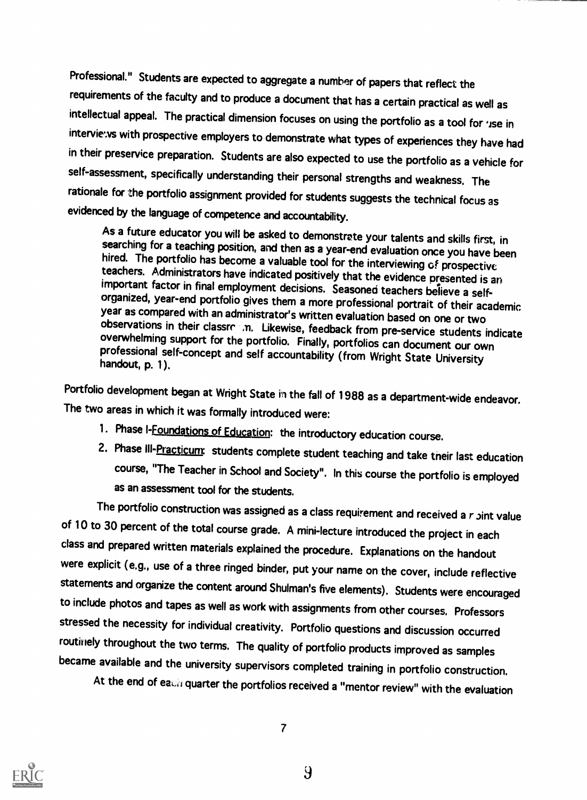Professional." Students are expected to aggregate a number of papers that reflect the requirements of the faculty and to produce a document that has a certain practical as well as intellectual appeal. The practical dimension focuses on using the portfolio as a tool for 'ise in interviews with prospective employers to demonstrate what types of experiences they have had in their preservice preparation. Students are also expected to use the portfolio as a vehicle for self-assessment, specifically understanding their personal strengths and weakness. The rationale for the portfolio assignment provided for students suggests the technical focus as evidenced by the language of competence and accountability.

As a future educator you will be asked to demonstrate your talents and skills first, in<br>searching for a teaching position, and then as a year-end evaluation once you have been<br>hired. The portfolio has become a valuable to

Portfolio development began at Wright State in the fall of 1988 as a department-wide endeavor. The two areas in which it was formally introduced were:

- 1. Phase I-Foundations of Education: the introductory education course.
- 2. Phase III-Practicum: students complete student teaching and take their last education course, "The Teacher in School and Society". In this course the portfolio is employed as an assessment tool for the students.

The portfolio construction was assigned as a class requirement and received a  $r$   $\delta$   $\delta$   $\delta$   $\delta$   $\delta$ of 10 to 30 percent of the total course grade. A mini-lecture introduced the project in each class and prepared written materials explained the procedure. Explanations on the handout were explicit (e.g., use of a three ringed binder, put your name on the cover, include reflective statements and organize the content around Shulman's five elements). Students were encouraged to include photos and tapes as well as work with assignments from other courses. Professors stressed the necessity for individual creativity. Portfolio questions and discussion occurred routinely throughout the two terms. The quality of portfolio products improved as samples became available and the university supervisors completed training in portfolio construction.

At the end of each quarter the portfolios received a "mentor review" with the evaluation



 $\overline{7}$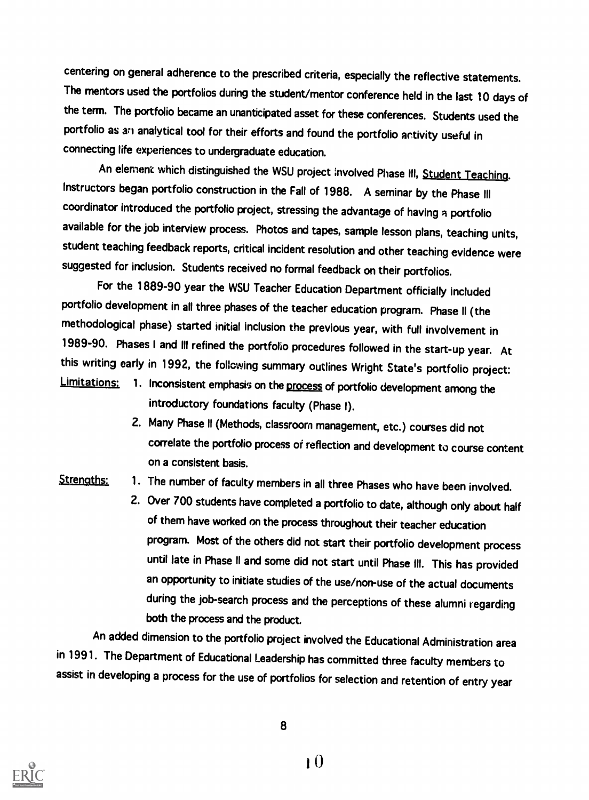centering on general adherence to the prescribed criteria, especially the reflective statements. The mentors used the portfolios during the student/mentor conference held in the last 10 days of the term. The portfolio became an unanticipated asset for these conferences. Students used the portfolio as an analytical tool for their efforts and found the portfolio activity useful in connecting life experiences to undergraduate education.

An element which distinguished the WSU project involved Phase III, Student Teaching. Instructors began portfolio construction in the Fall of 1988. A seminar by the Phase III coordinator introduced the portfolio project, stressing the advantage of having a portfolio available for the job interview process. Photos and tapes, sample lesson plans, teaching units, student teaching feedback reports, critical incident resolution and other teaching evidence were suggested for inclusion. Students received no formal feedback on their portfolios.

For the 1889-90 year the WSU Teacher Education Department officially included portfolio development in all three phases of the teacher education program. Phase II (the methodological phase) started initial inclusion the previous year, with full involvement in 1989-90. Phases I and III refined the portfolio procedures followed in the start-up year. At this writing early in 1992, the following summary outlines Wright State's portfolio project:<br>Limitations: 1. Inconsistent emphasis on the process of portfolio development except the

- 1. Inconsistent emphasis on the process of portfolio development among the introductory foundations faculty (Phase l).
	- 2. Many Phase ll (Methods, classroom management, etc.) courses did not correlate the portfolio process of reflection and development to course content on a consistent basis.
- 
- Strengths: 1. The number of faculty members in all three Phases who have been involved.
	- 2. Over 700 students have completed a portfolio to date, although only about half of them have worked on the process throughout their teacher education program. Most of the others did not start their portfolio development process until late in Phase II and some did not start until Phase III. This has provided an opportunity to initiate studies of the use/non-use of the actual documents during the job-search process and the perceptions of these alumni regarding both the process and the product

An added dimension to the portfolio project involved the Educational Administration area in 1991. The Department of Educational Leadership has committed three faculty members to assist in developing a process for the use of portfolios for selection and retention of entry year

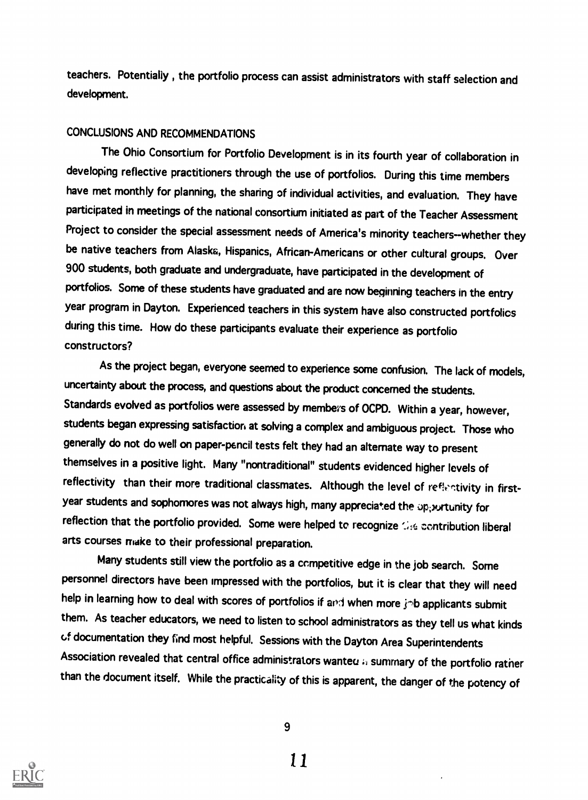teachers. Potentially,, the portfolio process can assist administrators with staff selection and development.

## CONCLUSIONS AND RECOMMENDATIONS

The Ohio Consortium for Portfolio Development is in its fourth year of collaboration in developing reflective practitioners through the use of portfolios. During this time members have met monthly for planning, the sharing of individual activities, and evaluation. They have participated in meetings of the national consortium initiated as part of the Teacher Assessment Project to consider the special assessment needs of America's minority teachers--whether they be native teachers from Alaska, Hispanics, African-Americans or other cultural groups. Over 900 students, both graduate and undergraduate, have participated in the development of portfolios. Some of these students have graduated and are now beginning teachers in the entry year program in Dayton. Experienced teachers in this system have also constructed portfolios during this time. How do these participants evaluate their experience as portfolio constructors?

As the project began, everyone seemed to experience some confusion. The lack of models, uncertainty about the process, and questions about the product concerned the students. Standards evolved as portfolios were assessed by members of OCPD. Within a year, however, students began expressing satisfaction at solving a complex and ambiguous project. Those who generally do not do well on paper-p6ncil tests felt they had an alternate way to present themselves in a positive light. Many "nontraditional" students evidenced higher levels of reflectivity than their more traditional classmates. Although the level of reflectivity in firstyear students and sophomores was not always high, many appreciated the opportunity for reflection that the portfolio provided. Some were helped to recognize the contribution liberal arts courses make to their professional preparation.

Many students still view the portfolio as a competitive edge in the job search. Some personnel directors have been impressed with the portfolios, but it is clear that they will need help in learning how to deal with scores of portfolios if and when more job applicants submit them. As teacher educators, we need to listen to school administrators as they tell us what kinds of documentation they find most helpful. Sessions with the Dayton Area Superintendents Association revealed that central office administrators wanted  $\mu$  summary of the portfolio rather than the document itself. While the practicality of this is apparent, the danger of the potency of



9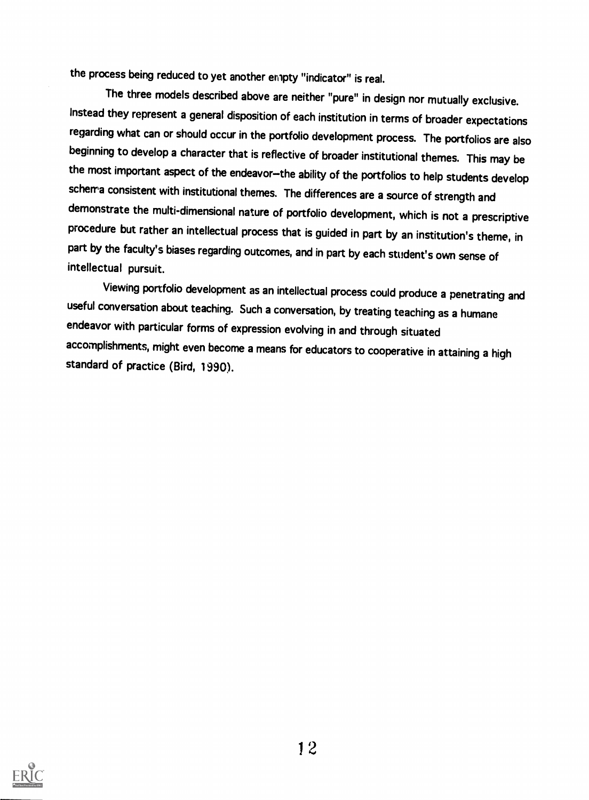the process being reduced to yet another empty "indicator" is real.

The three models described above are neither "pure" in design nor mutually exclusive. Instead they represent a general disposition of each institution in terms of broader expectations regarding what can or should occur in the portfolio development process. The portfolios are also beginning to develop a character that is reflective of broader institutional themes. This may be the most important aspect of the endeavor-the ability of the portfolios to help students develop schema consistent with institutional themes. The differences are a source of strength and demonstrate the multi-dimensional nature of portfolio development, which is not a prescriptive procedure but rather an intellectual process that is guided in part by an institution's theme, in part by the faculty's biases regarding outcomes, and in part by each student's own sense of intellectual pursuit.

Viewing portfolio development as an intellectual process could produce a penetrating and useful conversation about teaching. Such a conversation, by treating teaching as a humane endeavor with particular forms of expression evolving in and through situated accomplishments, might even become a means for educators to cooperative in attaining a high standard of practice (Bird, 1990).

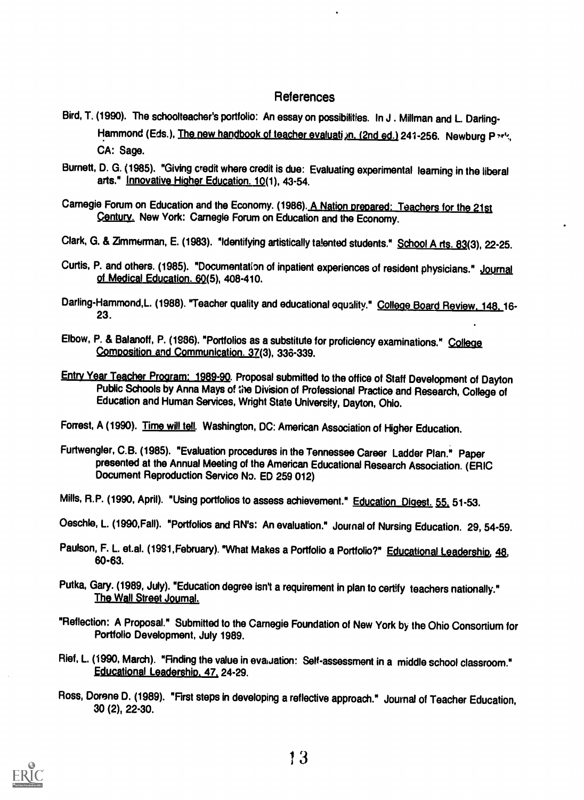### References

- Bird, T. (1990). The schoolteacher's portfolio: An essay on possibilities. In J . Millman and L Darling-Hammond (Eds.), The new handbook of teacher evaluati in. (2nd ed.) 241-256. Newburg P and, CA: Sage.
- Burnett, D. G. (1985). "Giving credit where credit is due: Evaluating experimental learning in the liberal arts." Innovative Higher Education. 10(1), 43-54.
- Carnegie Forum on Education and the Economy. (1986). A Nation prepared: Teachers for the 21st Century. New York: Carnegie Forum on Education and the Economy.
- Clark, G. & Zimmerman, E. (1983). "Identifying artistically talented students." School A rts. 83(3), 22-25.
- Curtis, P. and others. (1985). "Documentation of inpatient experiences of resident physicians." Journal of Medical Education. 60(5), 408-410.
- Darling-Hammond, L. (1988). "Teacher quality and educational equality." College Board Review, 148.16-23.
- Elbow, P. & Balanoff, P. (1986). "Portfolios as a substitute for proficiency examinations." College Composition\_and\_Communication. 37(3), 336-339.
- Entry Year Teacher Program: 1989-90. Proposal submitted to the office of Staff Development of Dayton Public Schools by Anna Mays of the Division of Professional Practice and Research, College of Education and Human Services, Wright State University, Dayton, Ohio.
- Forrest, A (1990). Time will tell. Washington, DC: American Association of Higher Education.
- Furtwengler, C.B. (1985). "Evaluation procedures in the Tennessee Career Ladder Plan." Paper presented at the Annual Meeting of the American Educational Research Association. (ERIC Document Reproduction Service No. ED 259 012)
- Mills, R.P. (1990, April). "Using portfolios to assess achievement." Education Digest. 55, 51-53.
- Oeschle, L. (1990,Fall). "Portfolios and RN's: An evaluation." Journal of Nursing Education. 29, 54-59.
- Paulson, F. L. et.al. (1991, February). "What Makes a Portfolio a Portfolio?" Educational Leadership, 48, 60-63.
- Putka, Gary. (1989, July). "Education degree isn't a requirement in plan to certify teachers nationally." The Wall Street Journal.
- "Reflection: A Proposal." Submitted to the Carnegie Foundation of New York by the Ohio Consortium for Portfolio Development, July 1989.
- Rief, L. (1990, March). "Finding the value in evaluation: Self-assessment in a middle school classroom." Educational Leadership, 47, 24-29.
- Ross, Dorene D. (1989). "First steps in developing a reflective approach." Journal of Teacher Education, 30 (2), 22-30.

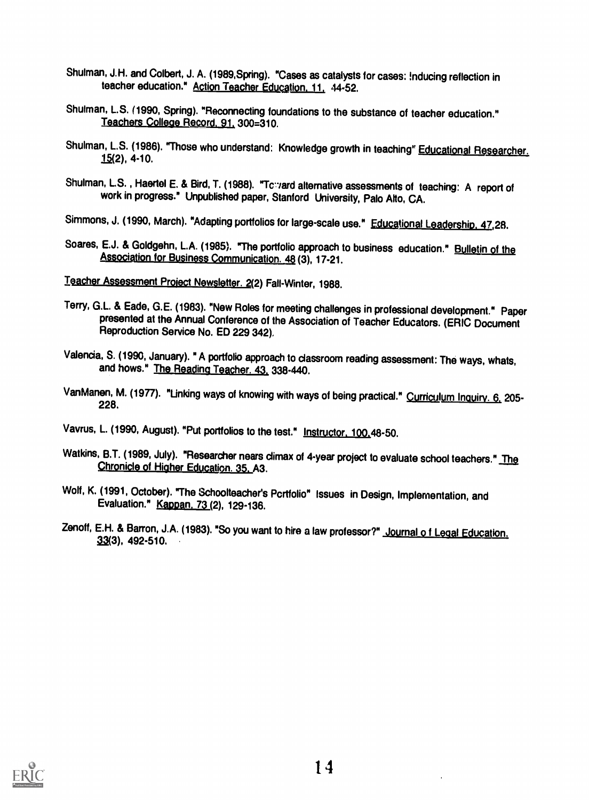- Shulman, J.H. and Colbert, J. A. (1989,Spring). "Cases as catalysts for cases: !nducing reflection in teacher education." Action Teacher Education. 11. 44-52.
- Shulman, L.S. (1990, Spring). "Reconnecting foundations to the substance of teacher education." Teachers College Record, 91, 300=310.
- Shulman, L.S. (1986). "Those who understand: Knowledge growth in teaching" Educational Researcher.  $15(2)$ , 4-10.
- Shulman, L.S., Haertel E. & Bird, T. (1988). "Toward alternative assessments of teaching: A report of work in progress." Unpublished paper, Stanford University, Palo Alto, CA.

Simmons, J. (1990, March). "Adapting portfolios for large-scale use." Educational Leadership. 47,28.

Soares, E.J. & Goldgehn, L.A. (1985). "The portfolio approach to business education." Bulletin of the Association for Business Communication. 48 (3), 17-21.

Teacher Assessment Project Newsletter. 2(2) Fall-Winter, 1988.

- Terry, G.L. & Eade, G.E. (1983). "New Roles for meeting challenges in professional development." Paper<br>presented at the Annual Conference of the Association of Teacher Educators. (ERIC Document<br>Reproduction Service No. ED
- Valencia, S. (1990, January). " A portfolio approach to classroom reading assessment: The ways, whats, and hows." The Reading Teacher. 43, 338-440.
- VanManen, M. (1977). "Linking ways of knowing with ways of being practical." Curriculum Inquiry. 6, 205-<br>228.
- Vavrus, L. (1990, August). "Put portfolios to the test." Instructor. 100.48-50.
- Watkins, B.T. (1989, July). "Researcher nears climax of 4-year project to evaluate school teachers." The Chronicle of Higher Education. 35, A3.
- Wolf, K. (1991, October). "The Schoolteacher's Pcrtfolio" Issues in Design, Implementation, and Evaluation." Kapoan. 73 (2), 129-136.
- Zenoff, E.H. & Barron, J.A. (1983). "So you want to hire a law professor?" Journal of Legal Education.<br>33(3), 492-510.

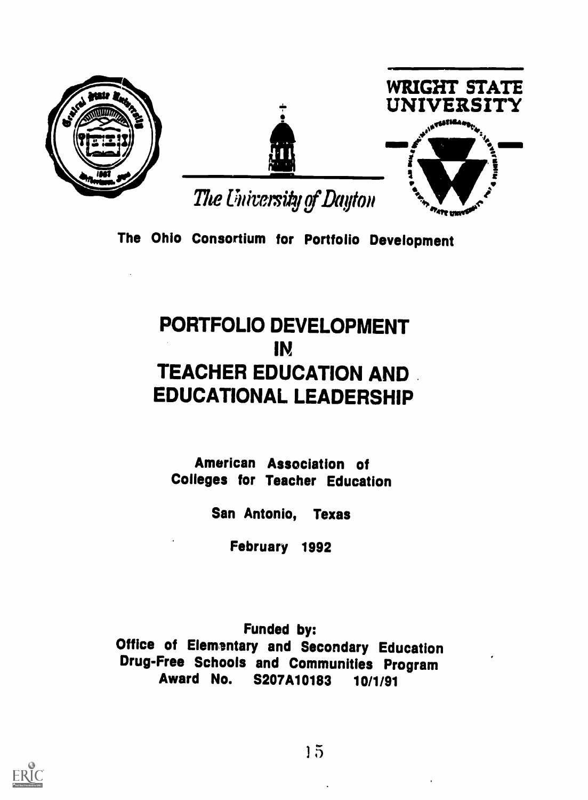





The University of Dayton

The Ohio Consortium for Portfolio Development

# PORTFOLIO DEVELOPMENT IN TEACHER EDUCATION AND . EDUCATIONAL LEADERSHIP

American Association of Colleges for Teacher Education

San Antonio, Texas

February 1992

Funded by: **Office of Elemantary and Secondary Education** Drug-Free Schools and Communities Program Award No. S207A10183 10/1/91